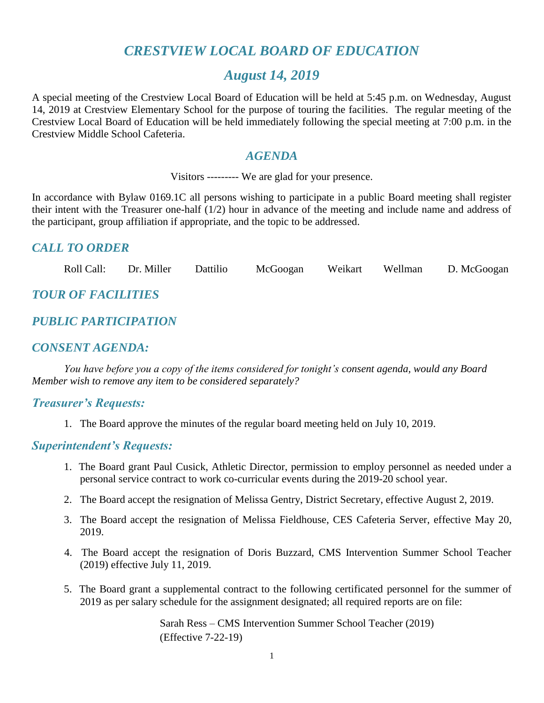# *CRESTVIEW LOCAL BOARD OF EDUCATION*

# *August 14, 2019*

A special meeting of the Crestview Local Board of Education will be held at 5:45 p.m. on Wednesday, August 14, 2019 at Crestview Elementary School for the purpose of touring the facilities. The regular meeting of the Crestview Local Board of Education will be held immediately following the special meeting at 7:00 p.m. in the Crestview Middle School Cafeteria.

# *AGENDA*

Visitors --------- We are glad for your presence.

In accordance with Bylaw 0169.1C all persons wishing to participate in a public Board meeting shall register their intent with the Treasurer one-half (1/2) hour in advance of the meeting and include name and address of the participant, group affiliation if appropriate, and the topic to be addressed.

# *CALL TO ORDER*

Roll Call: Dr. Miller Dattilio McGoogan Weikart Wellman D. McGoogan

# *TOUR OF FACILITIES*

# *PUBLIC PARTICIPATION*

# *CONSENT AGENDA:*

*You have before you a copy of the items considered for tonight's consent agenda, would any Board Member wish to remove any item to be considered separately?*

## *Treasurer's Requests:*

1. The Board approve the minutes of the regular board meeting held on July 10, 2019.

## *Superintendent's Requests:*

- 1. The Board grant Paul Cusick, Athletic Director, permission to employ personnel as needed under a personal service contract to work co-curricular events during the 2019-20 school year.
- 2. The Board accept the resignation of Melissa Gentry, District Secretary, effective August 2, 2019.
- 3. The Board accept the resignation of Melissa Fieldhouse, CES Cafeteria Server, effective May 20, 2019.
- 4. The Board accept the resignation of Doris Buzzard, CMS Intervention Summer School Teacher (2019) effective July 11, 2019.
- 5. The Board grant a supplemental contract to the following certificated personnel for the summer of 2019 as per salary schedule for the assignment designated; all required reports are on file:

Sarah Ress – CMS Intervention Summer School Teacher (2019) (Effective 7-22-19)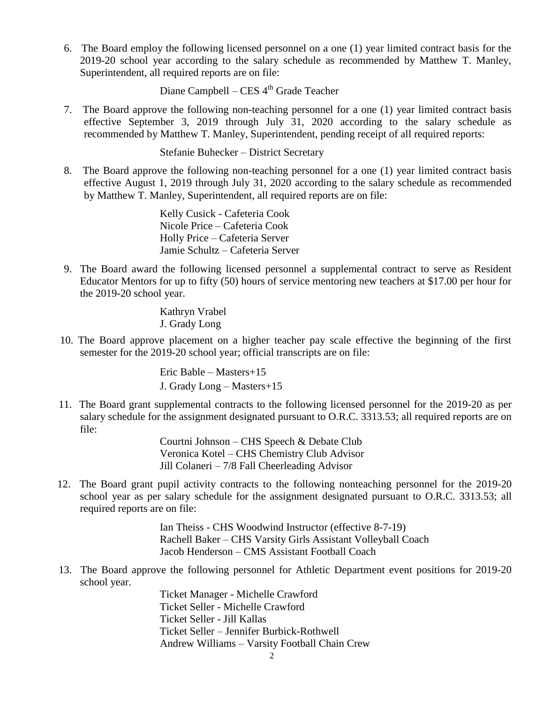6. The Board employ the following licensed personnel on a one (1) year limited contract basis for the 2019-20 school year according to the salary schedule as recommended by Matthew T. Manley, Superintendent, all required reports are on file:

Diane Campbell – CES 4<sup>th</sup> Grade Teacher

7. The Board approve the following non-teaching personnel for a one (1) year limited contract basis effective September 3, 2019 through July 31, 2020 according to the salary schedule as recommended by Matthew T. Manley, Superintendent, pending receipt of all required reports:

Stefanie Buhecker – District Secretary

8. The Board approve the following non-teaching personnel for a one (1) year limited contract basis effective August 1, 2019 through July 31, 2020 according to the salary schedule as recommended by Matthew T. Manley, Superintendent, all required reports are on file:

> Kelly Cusick - Cafeteria Cook Nicole Price – Cafeteria Cook Holly Price – Cafeteria Server Jamie Schultz – Cafeteria Server

9. The Board award the following licensed personnel a supplemental contract to serve as Resident Educator Mentors for up to fifty (50) hours of service mentoring new teachers at \$17.00 per hour for the 2019-20 school year.

> Kathryn Vrabel J. Grady Long

10. The Board approve placement on a higher teacher pay scale effective the beginning of the first semester for the 2019-20 school year; official transcripts are on file:

> Eric Bable – Masters+15 J. Grady Long – Masters+15

 11. The Board grant supplemental contracts to the following licensed personnel for the 2019-20 as per salary schedule for the assignment designated pursuant to O.R.C. 3313.53; all required reports are on file:

> Courtni Johnson – CHS Speech & Debate Club Veronica Kotel – CHS Chemistry Club Advisor Jill Colaneri – 7/8 Fall Cheerleading Advisor

 12. The Board grant pupil activity contracts to the following nonteaching personnel for the 2019-20 school year as per salary schedule for the assignment designated pursuant to O.R.C. 3313.53; all required reports are on file:

> Ian Theiss - CHS Woodwind Instructor (effective 8-7-19) Rachell Baker – CHS Varsity Girls Assistant Volleyball Coach Jacob Henderson – CMS Assistant Football Coach

 13. The Board approve the following personnel for Athletic Department event positions for 2019-20 school year.

> Ticket Manager - Michelle Crawford Ticket Seller - Michelle Crawford Ticket Seller - Jill Kallas Ticket Seller – Jennifer Burbick-Rothwell Andrew Williams – Varsity Football Chain Crew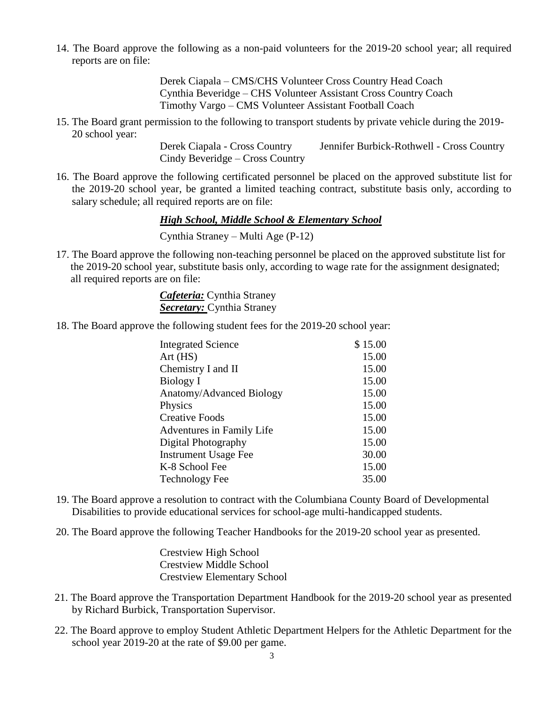14. The Board approve the following as a non-paid volunteers for the 2019-20 school year; all required reports are on file:

> Derek Ciapala – CMS/CHS Volunteer Cross Country Head Coach Cynthia Beveridge – CHS Volunteer Assistant Cross Country Coach Timothy Vargo – CMS Volunteer Assistant Football Coach

 15. The Board grant permission to the following to transport students by private vehicle during the 2019- 20 school year:

> Derek Ciapala - Cross Country Jennifer Burbick-Rothwell - Cross Country Cindy Beveridge – Cross Country

 16. The Board approve the following certificated personnel be placed on the approved substitute list for the 2019-20 school year, be granted a limited teaching contract, substitute basis only, according to salary schedule; all required reports are on file:

*High School, Middle School & Elementary School*

Cynthia Straney – Multi Age (P-12)

17. The Board approve the following non-teaching personnel be placed on the approved substitute list for the 2019-20 school year, substitute basis only, according to wage rate for the assignment designated; all required reports are on file:

> *Cafeteria:* Cynthia Straney *Secretary:* Cynthia Straney

18. The Board approve the following student fees for the 2019-20 school year:

| <b>Integrated Science</b>   | \$15.00 |
|-----------------------------|---------|
| Art(HS)                     | 15.00   |
| Chemistry I and II          | 15.00   |
| Biology I                   | 15.00   |
| Anatomy/Advanced Biology    | 15.00   |
| Physics                     | 15.00   |
| <b>Creative Foods</b>       | 15.00   |
| Adventures in Family Life   | 15.00   |
| Digital Photography         | 15.00   |
| <b>Instrument Usage Fee</b> | 30.00   |
| K-8 School Fee              | 15.00   |
| <b>Technology Fee</b>       | 35.00   |

- 19. The Board approve a resolution to contract with the Columbiana County Board of Developmental Disabilities to provide educational services for school-age multi-handicapped students.
- 20. The Board approve the following Teacher Handbooks for the 2019-20 school year as presented.

Crestview High School Crestview Middle School Crestview Elementary School

- 21. The Board approve the Transportation Department Handbook for the 2019-20 school year as presented by Richard Burbick, Transportation Supervisor.
- 22. The Board approve to employ Student Athletic Department Helpers for the Athletic Department for the school year 2019-20 at the rate of \$9.00 per game.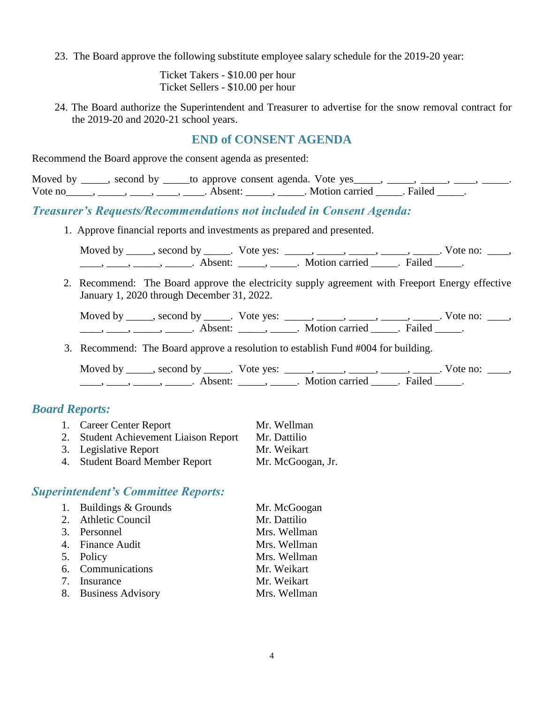23. The Board approve the following substitute employee salary schedule for the 2019-20 year:

Ticket Takers - \$10.00 per hour Ticket Sellers - \$10.00 per hour

24. The Board authorize the Superintendent and Treasurer to advertise for the snow removal contract for the 2019-20 and 2020-21 school years.

#### **END of CONSENT AGENDA**

Recommend the Board approve the consent agenda as presented:

|         |         | Moved by _____, second by _____to approve consent agenda. Vote yes_ |        |  |
|---------|---------|---------------------------------------------------------------------|--------|--|
| Vote no | Absent: | Motion carried .                                                    | Failed |  |

# *Treasurer's Requests/Recommendations not included in Consent Agenda:*

1. Approve financial reports and investments as prepared and presented.

Moved by \_\_\_\_\_, second by \_\_\_\_\_. Vote yes: \_\_\_\_\_, \_\_\_\_\_, \_\_\_\_\_, \_\_\_\_\_, \_\_\_\_\_. Vote no: \_\_\_\_,  $\underbrace{\hspace{1cm}}$ ,  $\underbrace{\hspace{1cm}}$ ,  $\underbrace{\hspace{1cm}}$  Absent:  $\underbrace{\hspace{1cm}}$ ,  $\underbrace{\hspace{1cm}}$ . Motion carried  $\underbrace{\hspace{1cm}}$ . Failed  $\underbrace{\hspace{1cm}}$ .

 2. Recommend: The Board approve the electricity supply agreement with Freeport Energy effective January 1, 2020 through December 31, 2022.

| Moved by | second by | Vote yes: |                |        | vote no: |  |
|----------|-----------|-----------|----------------|--------|----------|--|
|          | Absent:   |           | Motion carried | Failed |          |  |

3. Recommend: The Board approve a resolution to establish Fund #004 for building.

Moved by \_\_\_\_\_, second by \_\_\_\_\_. Vote yes: \_\_\_\_\_, \_\_\_\_\_, \_\_\_\_\_, \_\_\_\_\_, \_\_\_\_\_. Vote no: \_\_\_\_, ——, ——, ——, ———, Absent: \_\_\_\_, \_\_\_\_\_. Motion carried \_\_\_\_\_. Failed \_\_\_\_.

## *Board Reports:*

| 1. Career Center Report               | Mr. Wellman       |
|---------------------------------------|-------------------|
| 2. Student Achievement Liaison Report | Mr. Dattilio      |
| 3. Legislative Report                 | Mr. Weikart       |
| <b>Student Board Member Report</b>    | Mr. McGoogan, Jr. |

## *Superintendent's Committee Reports:*

| 1. Buildings & Grounds | Mr. McGoogan |
|------------------------|--------------|
| 2. Athletic Council    | Mr. Dattilio |
| 3. Personnel           | Mrs. Wellman |
| 4. Finance Audit       | Mrs. Wellman |
| 5. Policy              | Mrs. Wellman |
| 6. Communications      | Mr. Weikart  |
| 7. Insurance           | Mr. Weikart  |
| 8. Business Advisory   | Mrs. Wellman |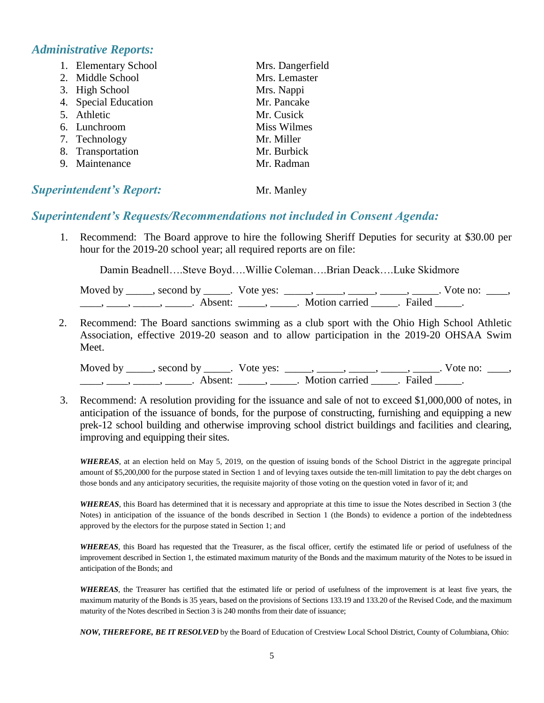# *Administrative Reports:*

| 1. Elementary School | Mrs. Dangerfield   |
|----------------------|--------------------|
| 2. Middle School     | Mrs. Lemaster      |
| 3. High School       | Mrs. Nappi         |
| 4. Special Education | Mr. Pancake        |
| 5. Athletic          | Mr. Cusick         |
| 6. Lunchroom         | <b>Miss Wilmes</b> |
| 7. Technology        | Mr. Miller         |
| 8. Transportation    | Mr. Burbick        |
| 9. Maintenance       | Mr. Radman         |
|                      |                    |

# **Superintendent's Report:** Mr. Manley

# *Superintendent's Requests/Recommendations not included in Consent Agenda:*

1. Recommend: The Board approve to hire the following Sheriff Deputies for security at \$30.00 per hour for the 2019-20 school year; all required reports are on file:

Damin Beadnell….Steve Boyd….Willie Coleman….Brian Deack….Luke Skidmore

| Moved by | second by           | Vote ves: |                |        | Vote no: |  |
|----------|---------------------|-----------|----------------|--------|----------|--|
|          | Absent <sup>.</sup> |           | Motion carried | Failed |          |  |

2. Recommend: The Board sanctions swimming as a club sport with the Ohio High School Athletic Association, effective 2019-20 season and to allow participation in the 2019-20 OHSAA Swim Meet.

Moved by \_\_\_\_\_, second by \_\_\_\_\_. Vote yes:  $\_\_\_\_\_\_\_\_\_\_\_\_\_\_\_\_\_\_\_$  \_\_\_\_, \_\_\_\_, \_\_\_\_. Vote no:  $\_\_\_\_\_\$ \_\_\_\_\_, \_\_\_\_\_\_, \_\_\_\_\_\_\_. Absent: \_\_\_\_\_\_, \_\_\_\_\_\_. Motion carried \_\_\_\_\_\_. Failed \_\_\_\_\_.

3. Recommend: A resolution providing for the issuance and sale of not to exceed \$1,000,000 of notes, in anticipation of the issuance of bonds, for the purpose of constructing, furnishing and equipping a new prek-12 school building and otherwise improving school district buildings and facilities and clearing, improving and equipping their sites.

*WHEREAS*, at an election held on May 5, 2019, on the question of issuing bonds of the School District in the aggregate principal amount of \$5,200,000 for the purpose stated in Section 1 and of levying taxes outside the ten-mill limitation to pay the debt charges on those bonds and any anticipatory securities, the requisite majority of those voting on the question voted in favor of it; and

*WHEREAS*, this Board has determined that it is necessary and appropriate at this time to issue the Notes described in Section 3 (the Notes) in anticipation of the issuance of the bonds described in Section 1 (the Bonds) to evidence a portion of the indebtedness approved by the electors for the purpose stated in Section 1; and

*WHEREAS*, this Board has requested that the Treasurer, as the fiscal officer, certify the estimated life or period of usefulness of the improvement described in Section 1, the estimated maximum maturity of the Bonds and the maximum maturity of the Notes to be issued in anticipation of the Bonds; and

*WHEREAS*, the Treasurer has certified that the estimated life or period of usefulness of the improvement is at least five years, the maximum maturity of the Bonds is 35 years, based on the provisions of Sections 133.19 and 133.20 of the Revised Code, and the maximum maturity of the Notes described in Section 3 is 240 months from their date of issuance;

*NOW, THEREFORE, BE IT RESOLVED* by the Board of Education of Crestview Local School District, County of Columbiana, Ohio: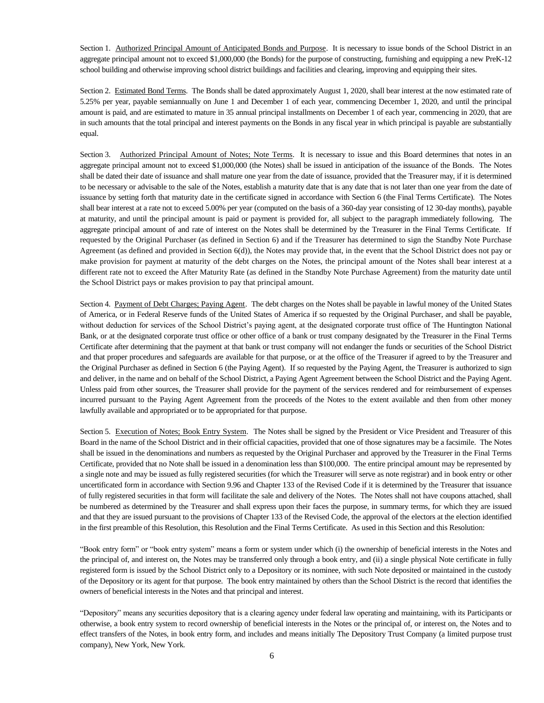Section 1. Authorized Principal Amount of Anticipated Bonds and Purpose. It is necessary to issue bonds of the School District in an aggregate principal amount not to exceed \$1,000,000 (the Bonds) for the purpose of constructing, furnishing and equipping a new PreK-12 school building and otherwise improving school district buildings and facilities and clearing, improving and equipping their sites.

Section 2. Estimated Bond Terms. The Bonds shall be dated approximately August 1, 2020, shall bear interest at the now estimated rate of 5.25% per year, payable semiannually on June 1 and December 1 of each year, commencing December 1, 2020, and until the principal amount is paid, and are estimated to mature in 35 annual principal installments on December 1 of each year, commencing in 2020, that are in such amounts that the total principal and interest payments on the Bonds in any fiscal year in which principal is payable are substantially equal.

Section 3. Authorized Principal Amount of Notes; Note Terms. It is necessary to issue and this Board determines that notes in an aggregate principal amount not to exceed \$1,000,000 (the Notes) shall be issued in anticipation of the issuance of the Bonds. The Notes shall be dated their date of issuance and shall mature one year from the date of issuance, provided that the Treasurer may, if it is determined to be necessary or advisable to the sale of the Notes, establish a maturity date that is any date that is not later than one year from the date of issuance by setting forth that maturity date in the certificate signed in accordance with Section 6 (the Final Terms Certificate). The Notes shall bear interest at a rate not to exceed 5.00% per year (computed on the basis of a 360-day year consisting of 12 30-day months), payable at maturity, and until the principal amount is paid or payment is provided for, all subject to the paragraph immediately following. The aggregate principal amount of and rate of interest on the Notes shall be determined by the Treasurer in the Final Terms Certificate. If requested by the Original Purchaser (as defined in Section 6) and if the Treasurer has determined to sign the Standby Note Purchase Agreement (as defined and provided in Section 6(d)), the Notes may provide that, in the event that the School District does not pay or make provision for payment at maturity of the debt charges on the Notes, the principal amount of the Notes shall bear interest at a different rate not to exceed the After Maturity Rate (as defined in the Standby Note Purchase Agreement) from the maturity date until the School District pays or makes provision to pay that principal amount.

Section 4. Payment of Debt Charges; Paying Agent. The debt charges on the Notes shall be payable in lawful money of the United States of America, or in Federal Reserve funds of the United States of America if so requested by the Original Purchaser, and shall be payable, without deduction for services of the School District's paying agent, at the designated corporate trust office of The Huntington National Bank, or at the designated corporate trust office or other office of a bank or trust company designated by the Treasurer in the Final Terms Certificate after determining that the payment at that bank or trust company will not endanger the funds or securities of the School District and that proper procedures and safeguards are available for that purpose, or at the office of the Treasurer if agreed to by the Treasurer and the Original Purchaser as defined in Section 6 (the Paying Agent). If so requested by the Paying Agent, the Treasurer is authorized to sign and deliver, in the name and on behalf of the School District, a Paying Agent Agreement between the School District and the Paying Agent. Unless paid from other sources, the Treasurer shall provide for the payment of the services rendered and for reimbursement of expenses incurred pursuant to the Paying Agent Agreement from the proceeds of the Notes to the extent available and then from other money lawfully available and appropriated or to be appropriated for that purpose.

Section 5. Execution of Notes; Book Entry System. The Notes shall be signed by the President or Vice President and Treasurer of this Board in the name of the School District and in their official capacities, provided that one of those signatures may be a facsimile. The Notes shall be issued in the denominations and numbers as requested by the Original Purchaser and approved by the Treasurer in the Final Terms Certificate, provided that no Note shall be issued in a denomination less than \$100,000. The entire principal amount may be represented by a single note and may be issued as fully registered securities (for which the Treasurer will serve as note registrar) and in book entry or other uncertificated form in accordance with Section 9.96 and Chapter 133 of the Revised Code if it is determined by the Treasurer that issuance of fully registered securities in that form will facilitate the sale and delivery of the Notes. The Notes shall not have coupons attached, shall be numbered as determined by the Treasurer and shall express upon their faces the purpose, in summary terms, for which they are issued and that they are issued pursuant to the provisions of Chapter 133 of the Revised Code, the approval of the electors at the election identified in the first preamble of this Resolution, this Resolution and the Final Terms Certificate. As used in this Section and this Resolution:

"Book entry form" or "book entry system" means a form or system under which (i) the ownership of beneficial interests in the Notes and the principal of, and interest on, the Notes may be transferred only through a book entry, and (ii) a single physical Note certificate in fully registered form is issued by the School District only to a Depository or its nominee, with such Note deposited or maintained in the custody of the Depository or its agent for that purpose. The book entry maintained by others than the School District is the record that identifies the owners of beneficial interests in the Notes and that principal and interest.

"Depository" means any securities depository that is a clearing agency under federal law operating and maintaining, with its Participants or otherwise, a book entry system to record ownership of beneficial interests in the Notes or the principal of, or interest on, the Notes and to effect transfers of the Notes, in book entry form, and includes and means initially The Depository Trust Company (a limited purpose trust company), New York, New York.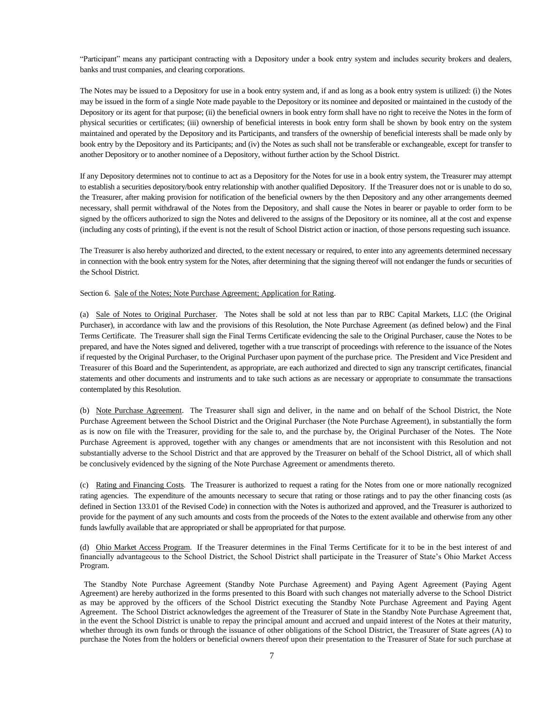"Participant" means any participant contracting with a Depository under a book entry system and includes security brokers and dealers, banks and trust companies, and clearing corporations.

The Notes may be issued to a Depository for use in a book entry system and, if and as long as a book entry system is utilized: (i) the Notes may be issued in the form of a single Note made payable to the Depository or its nominee and deposited or maintained in the custody of the Depository or its agent for that purpose; (ii) the beneficial owners in book entry form shall have no right to receive the Notes in the form of physical securities or certificates; (iii) ownership of beneficial interests in book entry form shall be shown by book entry on the system maintained and operated by the Depository and its Participants, and transfers of the ownership of beneficial interests shall be made only by book entry by the Depository and its Participants; and (iv) the Notes as such shall not be transferable or exchangeable, except for transfer to another Depository or to another nominee of a Depository, without further action by the School District.

If any Depository determines not to continue to act as a Depository for the Notes for use in a book entry system, the Treasurer may attempt to establish a securities depository/book entry relationship with another qualified Depository. If the Treasurer does not or is unable to do so, the Treasurer, after making provision for notification of the beneficial owners by the then Depository and any other arrangements deemed necessary, shall permit withdrawal of the Notes from the Depository, and shall cause the Notes in bearer or payable to order form to be signed by the officers authorized to sign the Notes and delivered to the assigns of the Depository or its nominee, all at the cost and expense (including any costs of printing), if the event is not the result of School District action or inaction, of those persons requesting such issuance.

The Treasurer is also hereby authorized and directed, to the extent necessary or required, to enter into any agreements determined necessary in connection with the book entry system for the Notes, after determining that the signing thereof will not endanger the funds or securities of the School District.

Section 6. Sale of the Notes; Note Purchase Agreement; Application for Rating.

(a) Sale of Notes to Original Purchaser. The Notes shall be sold at not less than par to RBC Capital Markets, LLC (the Original Purchaser), in accordance with law and the provisions of this Resolution, the Note Purchase Agreement (as defined below) and the Final Terms Certificate. The Treasurer shall sign the Final Terms Certificate evidencing the sale to the Original Purchaser, cause the Notes to be prepared, and have the Notes signed and delivered, together with a true transcript of proceedings with reference to the issuance of the Notes if requested by the Original Purchaser, to the Original Purchaser upon payment of the purchase price. The President and Vice President and Treasurer of this Board and the Superintendent, as appropriate, are each authorized and directed to sign any transcript certificates, financial statements and other documents and instruments and to take such actions as are necessary or appropriate to consummate the transactions contemplated by this Resolution.

(b) Note Purchase Agreement. The Treasurer shall sign and deliver, in the name and on behalf of the School District, the Note Purchase Agreement between the School District and the Original Purchaser (the Note Purchase Agreement), in substantially the form as is now on file with the Treasurer, providing for the sale to, and the purchase by, the Original Purchaser of the Notes. The Note Purchase Agreement is approved, together with any changes or amendments that are not inconsistent with this Resolution and not substantially adverse to the School District and that are approved by the Treasurer on behalf of the School District, all of which shall be conclusively evidenced by the signing of the Note Purchase Agreement or amendments thereto.

(c) Rating and Financing Costs. The Treasurer is authorized to request a rating for the Notes from one or more nationally recognized rating agencies. The expenditure of the amounts necessary to secure that rating or those ratings and to pay the other financing costs (as defined in Section 133.01 of the Revised Code) in connection with the Notes is authorized and approved, and the Treasurer is authorized to provide for the payment of any such amounts and costs from the proceeds of the Notes to the extent available and otherwise from any other funds lawfully available that are appropriated or shall be appropriated for that purpose.

(d) Ohio Market Access Program. If the Treasurer determines in the Final Terms Certificate for it to be in the best interest of and financially advantageous to the School District, the School District shall participate in the Treasurer of State's Ohio Market Access Program.

The Standby Note Purchase Agreement (Standby Note Purchase Agreement) and Paying Agent Agreement (Paying Agent Agreement) are hereby authorized in the forms presented to this Board with such changes not materially adverse to the School District as may be approved by the officers of the School District executing the Standby Note Purchase Agreement and Paying Agent Agreement. The School District acknowledges the agreement of the Treasurer of State in the Standby Note Purchase Agreement that, in the event the School District is unable to repay the principal amount and accrued and unpaid interest of the Notes at their maturity, whether through its own funds or through the issuance of other obligations of the School District, the Treasurer of State agrees (A) to purchase the Notes from the holders or beneficial owners thereof upon their presentation to the Treasurer of State for such purchase at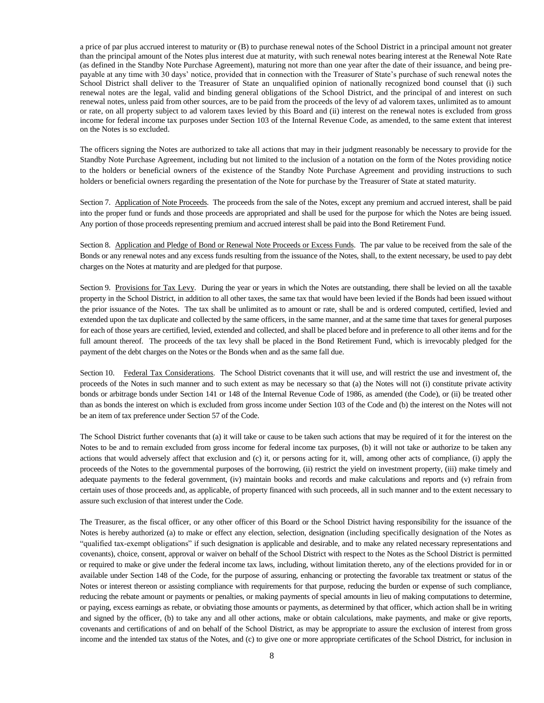a price of par plus accrued interest to maturity or (B) to purchase renewal notes of the School District in a principal amount not greater than the principal amount of the Notes plus interest due at maturity, with such renewal notes bearing interest at the Renewal Note Rate (as defined in the Standby Note Purchase Agreement), maturing not more than one year after the date of their issuance, and being prepayable at any time with 30 days' notice, provided that in connection with the Treasurer of State's purchase of such renewal notes the School District shall deliver to the Treasurer of State an unqualified opinion of nationally recognized bond counsel that (i) such renewal notes are the legal, valid and binding general obligations of the School District, and the principal of and interest on such renewal notes, unless paid from other sources, are to be paid from the proceeds of the levy of ad valorem taxes, unlimited as to amount or rate, on all property subject to ad valorem taxes levied by this Board and (ii) interest on the renewal notes is excluded from gross income for federal income tax purposes under Section 103 of the Internal Revenue Code, as amended, to the same extent that interest on the Notes is so excluded.

The officers signing the Notes are authorized to take all actions that may in their judgment reasonably be necessary to provide for the Standby Note Purchase Agreement, including but not limited to the inclusion of a notation on the form of the Notes providing notice to the holders or beneficial owners of the existence of the Standby Note Purchase Agreement and providing instructions to such holders or beneficial owners regarding the presentation of the Note for purchase by the Treasurer of State at stated maturity.

Section 7. Application of Note Proceeds. The proceeds from the sale of the Notes, except any premium and accrued interest, shall be paid into the proper fund or funds and those proceeds are appropriated and shall be used for the purpose for which the Notes are being issued. Any portion of those proceeds representing premium and accrued interest shall be paid into the Bond Retirement Fund.

Section 8. Application and Pledge of Bond or Renewal Note Proceeds or Excess Funds. The par value to be received from the sale of the Bonds or any renewal notes and any excess funds resulting from the issuance of the Notes, shall, to the extent necessary, be used to pay debt charges on the Notes at maturity and are pledged for that purpose.

Section 9. Provisions for Tax Levy. During the year or years in which the Notes are outstanding, there shall be levied on all the taxable property in the School District, in addition to all other taxes, the same tax that would have been levied if the Bonds had been issued without the prior issuance of the Notes. The tax shall be unlimited as to amount or rate, shall be and is ordered computed, certified, levied and extended upon the tax duplicate and collected by the same officers, in the same manner, and at the same time that taxes for general purposes for each of those years are certified, levied, extended and collected, and shall be placed before and in preference to all other items and for the full amount thereof. The proceeds of the tax levy shall be placed in the Bond Retirement Fund, which is irrevocably pledged for the payment of the debt charges on the Notes or the Bonds when and as the same fall due.

Section 10. Federal Tax Considerations. The School District covenants that it will use, and will restrict the use and investment of, the proceeds of the Notes in such manner and to such extent as may be necessary so that (a) the Notes will not (i) constitute private activity bonds or arbitrage bonds under Section 141 or 148 of the Internal Revenue Code of 1986, as amended (the Code), or (ii) be treated other than as bonds the interest on which is excluded from gross income under Section 103 of the Code and (b) the interest on the Notes will not be an item of tax preference under Section 57 of the Code.

The School District further covenants that (a) it will take or cause to be taken such actions that may be required of it for the interest on the Notes to be and to remain excluded from gross income for federal income tax purposes, (b) it will not take or authorize to be taken any actions that would adversely affect that exclusion and (c) it, or persons acting for it, will, among other acts of compliance, (i) apply the proceeds of the Notes to the governmental purposes of the borrowing, (ii) restrict the yield on investment property, (iii) make timely and adequate payments to the federal government, (iv) maintain books and records and make calculations and reports and (v) refrain from certain uses of those proceeds and, as applicable, of property financed with such proceeds, all in such manner and to the extent necessary to assure such exclusion of that interest under the Code.

The Treasurer, as the fiscal officer, or any other officer of this Board or the School District having responsibility for the issuance of the Notes is hereby authorized (a) to make or effect any election, selection, designation (including specifically designation of the Notes as "qualified tax-exempt obligations" if such designation is applicable and desirable, and to make any related necessary representations and covenants), choice, consent, approval or waiver on behalf of the School District with respect to the Notes as the School District is permitted or required to make or give under the federal income tax laws, including, without limitation thereto, any of the elections provided for in or available under Section 148 of the Code, for the purpose of assuring, enhancing or protecting the favorable tax treatment or status of the Notes or interest thereon or assisting compliance with requirements for that purpose, reducing the burden or expense of such compliance, reducing the rebate amount or payments or penalties, or making payments of special amounts in lieu of making computations to determine, or paying, excess earnings as rebate, or obviating those amounts or payments, as determined by that officer, which action shall be in writing and signed by the officer, (b) to take any and all other actions, make or obtain calculations, make payments, and make or give reports, covenants and certifications of and on behalf of the School District, as may be appropriate to assure the exclusion of interest from gross income and the intended tax status of the Notes, and (c) to give one or more appropriate certificates of the School District, for inclusion in